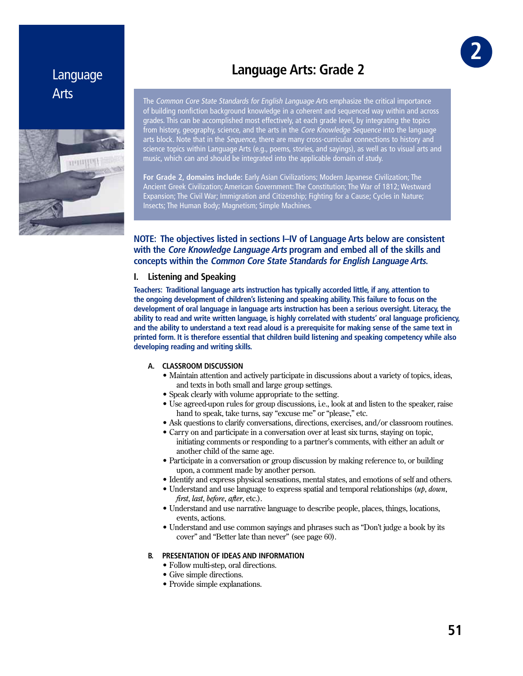# Language Arts



# **Language Arts: Grade 2**

The Common Core State Standards for English Language Arts emphasize the critical importance of building nonfiction background knowledge in a coherent and sequenced way within and across grades. This can be accomplished most effectively, at each grade level, by integrating the topics from history, geography, science, and the arts in the *Core Knowledge Sequence* into the language arts block. Note that in the Sequence, there are many cross-curricular connections to history and science topics within Language Arts (e.g., poems, stories, and sayings), as well as to visual arts and music, which can and should be integrated into the applicable domain of study.

**For Grade 2, domains include:** Early Asian Civilizations; Modern Japanese Civilization; The Ancient Greek Civilization; American Government: The Constitution; The War of 1812; Westward Expansion; The Civil War; Immigration and Citizenship; Fighting for a Cause; Cycles in Nature; Insects; The Human Body; Magnetism; Simple Machines.

# **NOTE: The objectives listed in sections I–IV of Language Arts below are consistent with the Core Knowledge Language Arts program and embed all of the skills and concepts within the Common Core State Standards for English Language Arts.**

# **I. Listening and Speaking**

**Teachers: Traditional language arts instruction has typically accorded little, if any, attention to the ongoing development of children's listening and speaking ability. This failure to focus on the development of oral language in language arts instruction has been a serious oversight. Literacy, the ability to read and write written language, is highly correlated with students' oral language proficiency, and the ability to understand a text read aloud is a prerequisite for making sense of the same text in printed form. It is therefore essential that children build listening and speaking competency while also developing reading and writing skills.**

## **A. CLASSROOM DISCUSSION**

- Maintain attention and actively participate in discussions about a variety of topics, ideas, and texts in both small and large group settings.
- Speak clearly with volume appropriate to the setting.
- Use agreed-upon rules for group discussions, i.e., look at and listen to the speaker, raise hand to speak, take turns, say "excuse me" or "please," etc.
- Ask questions to clarify conversations, directions, exercises, and/or classroom routines.
- Carry on and participate in a conversation over at least six turns, staying on topic, initiating comments or responding to a partner's comments, with either an adult or another child of the same age.
- Participate in a conversation or group discussion by making reference to, or building upon, a comment made by another person.
- Identify and express physical sensations, mental states, and emotions of self and others.
- Understand and use language to express spatial and temporal relationships  $(u p, d o w n$ , *first, last, before, after,* etc.).
- Understand and use narrative language to describe people, places, things, locations, events, actions.
- Understand and use common sayings and phrases such as "Don't judge a book by its cover" and "Better late than never" (see page 60).

## **B. PRESENTATION OF IDEAS AND INFORMATION**

- Follow multi-step, oral directions.
- Give simple directions.
- Provide simple explanations.

GR **2**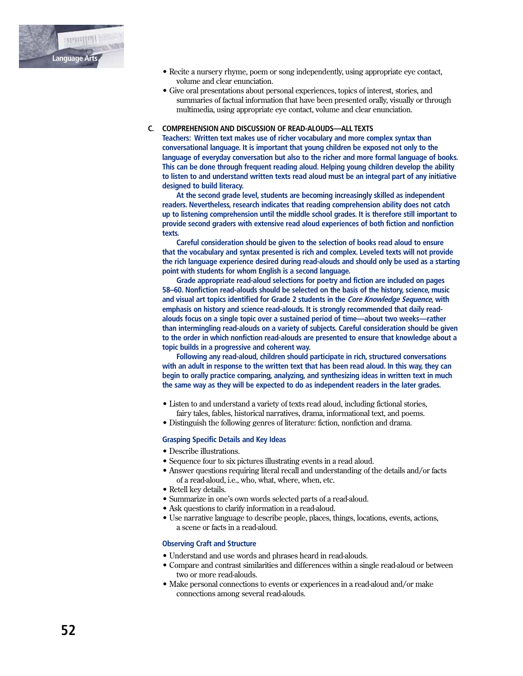

- Recite a nursery rhyme, poem or song independently, using appropriate eye contact, volume and clear enunciation.
- Give oral presentations about personal experiences, topics of interest, stories, and summaries of factual information that have been presented orally, visually or through multimedia, using appropriate eye contact, volume and clear enunciation.

#### **C. COMPREHENSION AND DISCUSSION OF READ-ALOUDS—ALL TEXTS**

 **Teachers: Written text makes use of richer vocabulary and more complex syntax than conversational language. It is important that young children be exposed not only to the language of everyday conversation but also to the richer and more formal language of books. This can be done through frequent reading aloud. Helping young children develop the ability to listen to and understand written texts read aloud must be an integral part of any initiative designed to build literacy.** 

 **At the second grade level, students are becoming increasingly skilled as independent readers. Nevertheless, research indicates that reading comprehension ability does not catch up to listening comprehension until the middle school grades. It is therefore still important to provide second graders with extensive read aloud experiences of both fiction and nonfiction texts.** 

 **Careful consideration should be given to the selection of books read aloud to ensure that the vocabulary and syntax presented is rich and complex. Leveled texts will not provide the rich language experience desired during read-alouds and should only be used as a starting point with students for whom English is a second language.**

 **Grade appropriate read-aloud selections for poetry and fiction are included on pages 58–60. Nonfiction read-alouds should be selected on the basis of the history, science, music and visual art topics identified for Grade 2 students in the Core Knowledge Sequence, with emphasis on history and science read-alouds. It is strongly recommended that daily read alouds focus on a single topic over a sustained period of time—about two weeks—rather than intermingling read-alouds on a variety of subjects. Careful consideration should be given to the order in which nonfiction read-alouds are presented to ensure that knowledge about a topic builds in a progressive and coherent way.**

 **Following any read-aloud, children should participate in rich, structured conversations with an adult in response to the written text that has been read aloud. In this way, they can begin to orally practice comparing, analyzing, and synthesizing ideas in written text in much the same way as they will be expected to do as independent readers in the later grades.**

- Listen to and understand a variety of texts read aloud, including fictional stories, fairy tales, fables, historical narratives, drama, informational text, and poems.
- Distinguish the following genres of literature: fiction, nonfiction and drama.

#### **Grasping Specific Details and Key Ideas**

- $\bullet$  Describe illustrations.
- Sequence four to six pictures illustrating events in a read aloud.
- Answer questions requiring literal recall and understanding of the details and/or facts of a read-aloud, i.e., who, what, where, when, etc.
- Retell key details.
- Summarize in one's own words selected parts of a read-aloud.
- Ask questions to clarify information in a read-aloud.
- Use narrative language to describe people, places, things, locations, events, actions, a scene or facts in a read-aloud.

## **Observing Craft and Structure**

- Understand and use words and phrases heard in read-alouds.
- Compare and contrast similarities and differences within a single read-aloud or between two or more read-alouds.
- Make personal connections to events or experiences in a read-aloud and/or make connections among several read-alouds.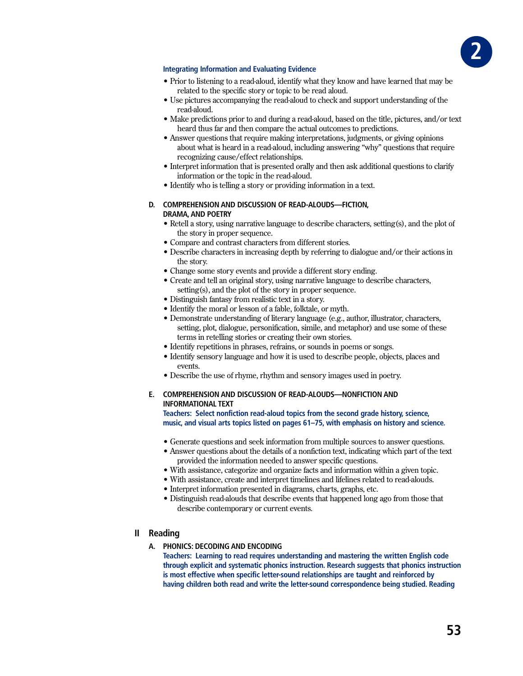

## **Integrating Information and Evaluating Evidence**

- Prior to listening to a read-aloud, identify what they know and have learned that may be related to the specific story or topic to be read aloud.
- Use pictures accompanying the read-aloud to check and support understanding of the read-aloud.
- Make predictions prior to and during a read-aloud, based on the title, pictures, and/or text heard thus far and then compare the actual outcomes to predictions.
- Answer questions that require making interpretations, judgments, or giving opinions about what is heard in a read-aloud, including answering "why" questions that require recognizing cause/effect relationships.
- Interpret information that is presented orally and then ask additional questions to clarify information or the topic in the read-aloud.
- Identify who is telling a story or providing information in a text.

## D. COMPREHENSION AND DISCUSSION OF READ-ALOUDS-FICTION, **DRAMA, AND POETRY**

- Retell a story, using narrative language to describe characters, setting (s), and the plot of the story in proper sequence.
- Compare and contrast characters from different stories.
- Describe characters in increasing depth by referring to dialogue and/or their actions in the story.
- Change some story events and provide a different story ending.
- Create and tell an original story, using narrative language to describe characters, setting(s), and the plot of the story in proper sequence.
- Distinguish fantasy from realistic text in a story.
- Identify the moral or lesson of a fable, folktale, or myth.
- Demonstrate understanding of literary language (e.g., author, illustrator, characters, setting, plot, dialogue, personification, simile, and metaphor) and use some of these terms in retelling stories or creating their own stories.
- Identify repetitions in phrases, refrains, or sounds in poems or songs.
- Identify sensory language and how it is used to describe people, objects, places and events.
- Describe the use of rhyme, rhythm and sensory images used in poetry.

# E. COMPREHENSION AND DISCUSSION OF READ-ALOUDS-NONFICTION AND **INFORMATIONAL TEXT**

Teachers: Select nonfiction read-aloud topics from the second grade history, science, music, and visual arts topics listed on pages 61-75, with emphasis on history and science.

- Generate questions and seek information from multiple sources to answer questions.
- Answer questions about the details of a nonfiction text, indicating which part of the text provided the information needed to answer specific questions.
- With assistance, categorize and organize facts and information within a given topic.
- With assistance, create and interpret timelines and lifelines related to read-alouds.
- Interpret information presented in diagrams, charts, graphs, etc.
- Distinguish read-alouds that describe events that happened long ago from those that describe contemporary or current events.
- **II** Reading

# A. PHONICS: DECODING AND ENCODING

Teachers: Learning to read requires understanding and mastering the written English code through explicit and systematic phonics instruction. Research suggests that phonics instruction is most effective when specific letter-sound relationships are taught and reinforced by having children both read and write the letter-sound correspondence being studied. Reading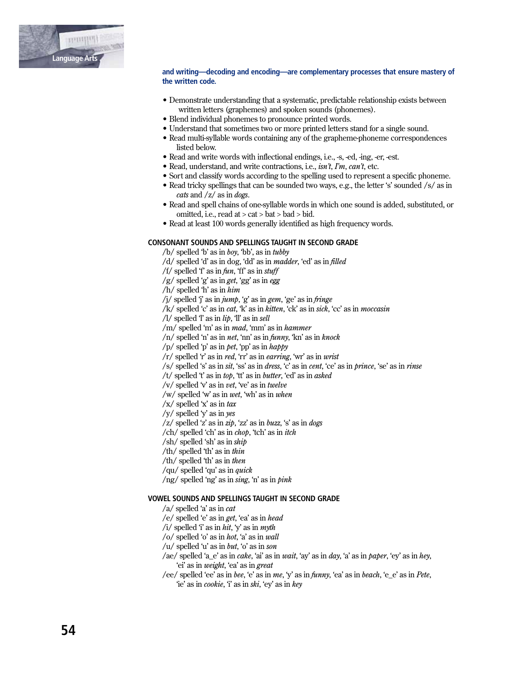

#### and writing—decoding and encoding—are complementary processes that ensure mastery of the written code.

- Demonstrate understanding that a systematic, predictable relationship exists between written letters (graphemes) and spoken sounds (phonemes).
- Blend individual phonemes to pronounce printed words.
- Understand that sometimes two or more printed letters stand for a single sound.
- Read multi-syllable words containing any of the grapheme-phoneme correspondences listed below.
- Read and write words with inflectional endings, i.e., -s, -ed, -ing, -er, -est.
- Read, understand, and write contractions, i.e.,  $isn't$ ,  $\Gamma m$ ,  $can't$ , etc.
- Sort and classify words according to the spelling used to represent a specific phoneme.
- Read tricky spellings that can be sounded two ways, e.g., the letter 's' sounded /s/ as in cats and  $\frac{z}{\sin \theta}$  as in *dogs*.
- Read and spell chains of one-syllable words in which one sound is added, substituted, or omitted, i.e., read at  $>$  cat  $>$  bat  $>$  bad  $>$  bid.
- Read at least 100 words generally identified as high frequency words.

#### CONSONANT SOUNDS AND SPELLINGS TAUGHT IN SECOND GRADE

 $/b$  spelled 'b' as in boy, 'bb', as in tubby

- /d/ spelled 'd' as in dog, 'dd' as in *madder*, 'ed' as in *filled*
- /f/ spelled 'f' as in  $fun$ , 'ff' as in stuff
- $/g$  spelled 'g' as in get, 'gg' as in egg
- $/h/$  spelled 'h' as in  $him$
- /j/ spelled 'j' as in  $\mu m p$ , 'g' as in gem, 'ge' as in fringe
- /k/ spelled 'c' as in *cat*, 'k' as in *kitten*, 'ck' as in *sick*, 'cc' as in *moccasin*
- /l/ spelled  $T$  as in  $lip$ ,  $T$  as in sell
- /m/ spelled 'm' as in mad, 'mm' as in hammer
- $/n/$  spelled 'n' as in *net*, 'nn' as in *funny*, 'kn' as in *knock*
- /p/ spelled 'p' as in *pet*, 'pp' as in  $h$ appy
- /r/ spelled 'r' as in red, 'rr' as in earring, 'wr' as in wrist
- /s/ spelled 's' as in sit, 'ss' as in dress, 'c' as in cent, 'ce' as in prince, 'se' as in rinse
- /t/ spelled 't' as in top, 'tt' as in butter, 'ed' as in asked
- /v/ spelled  $\forall$  as in vet, 've' as in twelve
- /w/ spelled 'w' as in wet, 'wh' as in when
- $\sqrt{x}$  spelled 'x' as in tax
- /y/ spelled 'y' as in yes
- $\sqrt{z}$  spelled 'z' as in zip, 'zz' as in buzz, 's' as in dogs
- /ch/ spelled 'ch' as in *chop*, 'tch' as in *itch*
- $/\sh$ / spelled 'sh' as in ship
- /th/ spelled 'th' as in thin
- /th/ spelled 'th' as in then
- /qu/ spelled 'qu' as in *quick*
- /ng/ spelled 'ng' as in sing, 'n' as in pink

## **VOWEL SOUNDS AND SPELLINGS TAUGHT IN SECOND GRADE**

- $/a$  spelled 'a' as in *cat*
- /e/ spelled 'e' as in get, 'ea' as in head
- /i/ spelled 'i' as in hit, 'y' as in myth
- /o/ spelled 'o' as in *hot*, 'a' as in *wall*
- /u/ spelled 'u' as in *but*, 'o' as in *son*
- /ae/ spelled 'a\_e' as in *cake*, 'ai' as in *wait*, 'ay' as in *day*, 'a' as in *paper*, 'ey' as in *hey*, 'ei' as in *weight*, 'ea' as in *great*
- /ee/ spelled 'ee' as in bee, 'e' as in me, 'y' as in funny, 'ea' as in beach, 'e\_e' as in Pete, 'ie' as in *cookie*, 'i' as in *ski*, 'ey' as in *key*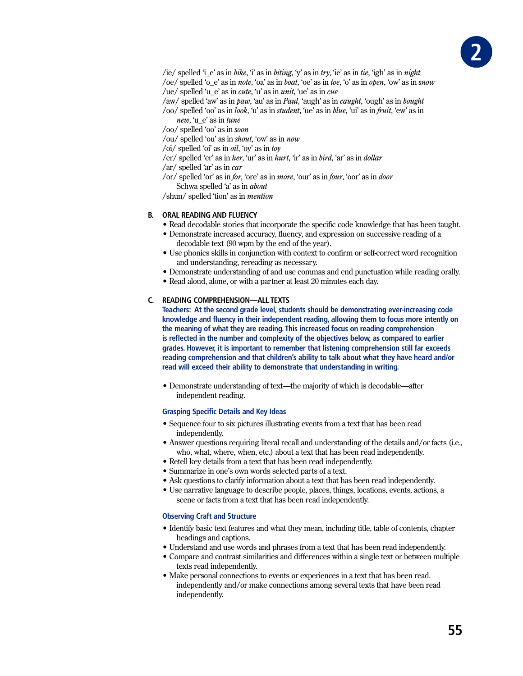

/ie/ spelled 'i\_e' as in bike, 'i' as in biting, 'y' as in try, 'ie' as in tie, 'igh' as in night /oe/ spelled 'o\_e' as in *note*, 'oa' as in *boat*, 'oe' as in *toe*, 'o' as in *open*, 'ow' as in *snow* 

/ue/ spelled 'u e' as in *cute*, 'u' as in *unit*, 'ue' as in *cue* 

/aw/ spelled 'aw' as in paw, 'au' as in Paul, 'augh' as in *caught*, 'ough' as in *bought* 

- /oo/ spelled 'oo' as in look, 'u' as in *student*, 'ue' as in *blue*, 'ui' as in *fruit*, 'ew' as in new. 'u e' as in tune
- /oo/ spelled 'oo' as in soon
- /ou/ spelled 'ou' as in *shout*, 'ow' as in *now*
- /oi/ spelled 'oi' as in *oil*, 'oy' as in *toy*
- /er/ spelled 'er' as in her, 'ur' as in hurt, 'ir' as in bird, 'ar' as in dollar
- /ar/ spelled 'ar' as in  $car$
- /or/ spelled 'or' as in for, 'ore' as in more, 'our' as in four, 'oor' as in door Schwa spelled 'a' as in *about*

/shun/ spelled 'tion' as in *mention* 

## **B. ORAL READING AND FLUENCY**

- Read decodable stories that incorporate the specific code knowledge that has been taught.
- Demonstrate increased accuracy, fluency, and expression on successive reading of a decodable text (90 wpm by the end of the year).
- Use phonics skills in conjunction with context to confirm or self-correct word recognition and understanding, rereading as necessary.
- Demonstrate understanding of and use commas and end punctuation while reading orally.
- Read aloud, alone, or with a partner at least 20 minutes each day.

# C. READING COMPREHENSION-ALL TEXTS

Teachers: At the second grade level, students should be demonstrating ever-increasing code knowledge and fluency in their independent reading, allowing them to focus more intently on the meaning of what they are reading. This increased focus on reading comprehension is reflected in the number and complexity of the objectives below, as compared to earlier grades. However, it is important to remember that listening comprehension still far exceeds reading comprehension and that children's ability to talk about what they have heard and/or read will exceed their ability to demonstrate that understanding in writing.

• Demonstrate understanding of text—the majority of which is decodable—after independent reading.

#### **Grasping Specific Details and Key Ideas**

- Sequence four to six pictures illustrating events from a text that has been read independently.
- Answer questions requiring literal recall and understanding of the details and/or facts (i.e., who, what, where, when, etc.) about a text that has been read independently.
- Retell key details from a text that has been read independently.
- Summarize in one's own words selected parts of a text.
- Ask questions to clarify information about a text that has been read independently.
- Use narrative language to describe people, places, things, locations, events, actions, a scene or facts from a text that has been read independently.

## **Observing Craft and Structure**

- Identify basic text features and what they mean, including title, table of contents, chapter headings and captions.
- Understand and use words and phrases from a text that has been read independently.
- Compare and contrast similarities and differences within a single text or between multiple texts read independently.
- Make personal connections to events or experiences in a text that has been read. independently and/or make connections among several texts that have been read independently.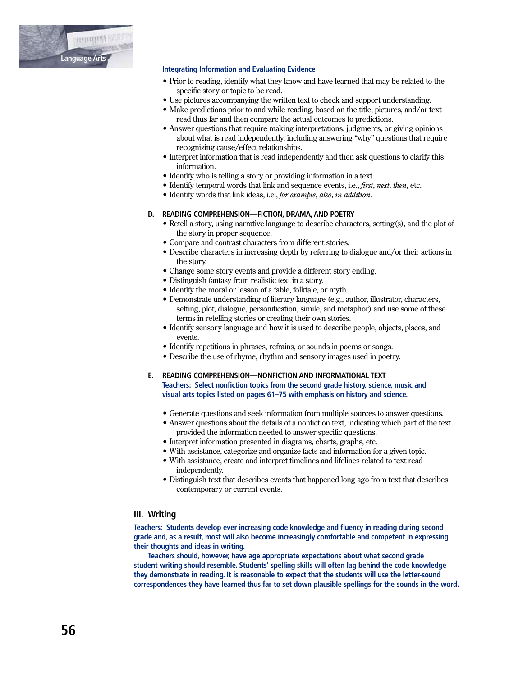

#### **Integrating Information and Evaluating Evidence**

- Prior to reading, identify what they know and have learned that may be related to the specific story or topic to be read.
- Use pictures accompanying the written text to check and support understanding.
- Make predictions prior to and while reading, based on the title, pictures, and/or text read thus far and then compare the actual outcomes to predictions.
- Answer questions that require making interpretations, judgments, or giving opinions about what is read independently, including answering "why" questions that require recognizing cause/effect relationships.
- Interpret information that is read independently and then ask questions to clarify this information.
- Identify who is telling a story or providing information in a text.
- Identify temporal words that link and sequence events, i.e., *first, next, then,* etc.
- Identify words that link ideas, i.e., for example, also, in addition.

#### D. READING COMPREHENSION-FICTION, DRAMA, AND POETRY

- Retell a story, using narrative language to describe characters, setting(s), and the plot of the story in proper sequence.
- Compare and contrast characters from different stories.
- Describe characters in increasing depth by referring to dialogue and/or their actions in the story.
- Change some story events and provide a different story ending.
- Distinguish fantasy from realistic text in a story.
- Identify the moral or lesson of a fable, folktale, or myth.
- Demonstrate understanding of literary language (e.g., author, illustrator, characters, setting, plot, dialogue, personification, simile, and metaphor) and use some of these terms in retelling stories or creating their own stories.
- Identify sensory language and how it is used to describe people, objects, places, and events
- Identify repetitions in phrases, refrains, or sounds in poems or songs.
- Describe the use of rhyme, rhythm and sensory images used in poetry.

#### E. READING COMPREHENSION-NONFICTION AND INFORMATIONAL TEXT Teachers: Select nonfiction topics from the second grade history, science, music and visual arts topics listed on pages 61-75 with emphasis on history and science.

- Generate questions and seek information from multiple sources to answer questions.
- Answer questions about the details of a nonfiction text, indicating which part of the text provided the information needed to answer specific questions.
- Interpret information presented in diagrams, charts, graphs, etc.
- With assistance, categorize and organize facts and information for a given topic.
- With assistance, create and interpret timelines and lifelines related to text read independently.
- Distinguish text that describes events that happened long ago from text that describes contemporary or current events.

# III. Writing

Teachers: Students develop ever increasing code knowledge and fluency in reading during second grade and, as a result, most will also become increasingly comfortable and competent in expressing their thoughts and ideas in writing.

Teachers should, however, have age appropriate expectations about what second grade student writing should resemble. Students' spelling skills will often lag behind the code knowledge they demonstrate in reading. It is reasonable to expect that the students will use the letter-sound correspondences they have learned thus far to set down plausible spellings for the sounds in the word.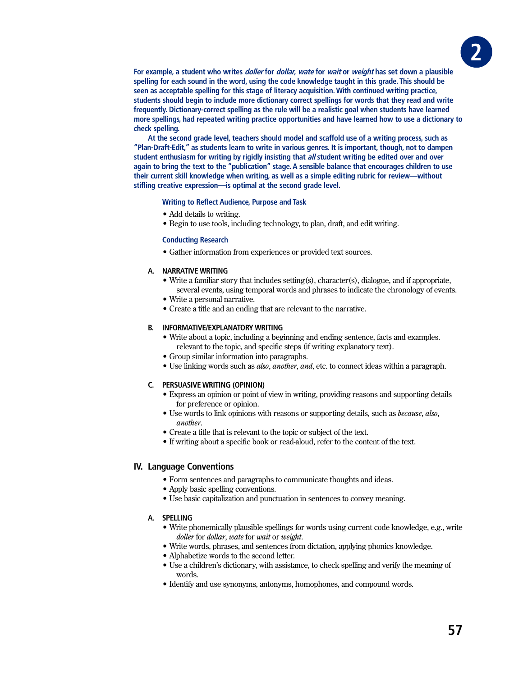**For example, a student who writes doller for dollar, wate for wait or weight has set down a plausible spelling for each sound in the word, using the code knowledge taught in this grade. This should be seen as acceptable spelling for this stage of literacy acquisition. With continued writing practice, students should begin to include more dictionary correct spellings for words that they read and write frequently. Dictionary-correct spelling as the rule will be a realistic goal when students have learned more spellings, had repeated writing practice opportunities and have learned how to use a dictionary to check spelling.** 

**At the second grade level, teachers should model and scaffold use of a writing process, such as "Plan-Draft-Edit," as students learn to write in various genres. It is important, though, not to dampen student enthusiasm for writing by rigidly insisting that all student writing be edited over and over again to bring the text to the "publication" stage. A sensible balance that encourages children to use their current skill knowledge when writing, as well as a simple editing rubric for review—without stifling creative expression—is optimal at the second grade level.**

#### **Writing to Reflect Audience, Purpose and Task**

- Add details to writing.
- Begin to use tools, including technology, to plan, draft, and edit writing.

#### **Conducting Research**

• Gather information from experiences or provided text sources.

#### **A. NARRATIVE WRITING**

- Write a familiar story that includes setting (s), character (s), dialogue, and if appropriate, several events, using temporal words and phrases to indicate the chronology of events.
- Write a personal narrative.
- Create a title and an ending that are relevant to the narrative.

### **B. INFORMATIVE/EXPLANATORY WRITING**

- Write about a topic, including a beginning and ending sentence, facts and examples. relevant to the topic, and specific steps (if writing explanatory text).
- Group similar information into paragraphs.
- Use linking words such as *also, another, and*, etc. to connect ideas within a paragraph.

#### **C. PERSUASIVE WRITING (OPINION)**

- Express an opinion or point of view in writing, providing reasons and supporting details for preference or opinion.
- Use words to link opinions with reasons or supporting details, such as *because*, also, *another*
- Create a title that is relevant to the topic or subject of the text.
- If writing about a specific book or read-aloud, refer to the content of the text.

# **IV. Language Conventions**

- Form sentences and paragraphs to communicate thoughts and ideas.
- Apply basic spelling conventions.
- Use basic capitalization and punctuation in sentences to convey meaning.

#### **A. SPELLING**

- Write phonemically plausible spellings for words using current code knowledge, e.g., write *doller* for *dollar*, *wate* for *wait* or *weight*.
- Write words, phrases, and sentences from dictation, applying phonics knowledge.
- Alphabetize words to the second letter.
- Use a children's dictionary, with assistance, to check spelling and verify the meaning of words.
- Identify and use synonyms, antonyms, homophones, and compound words.

GRAD **2**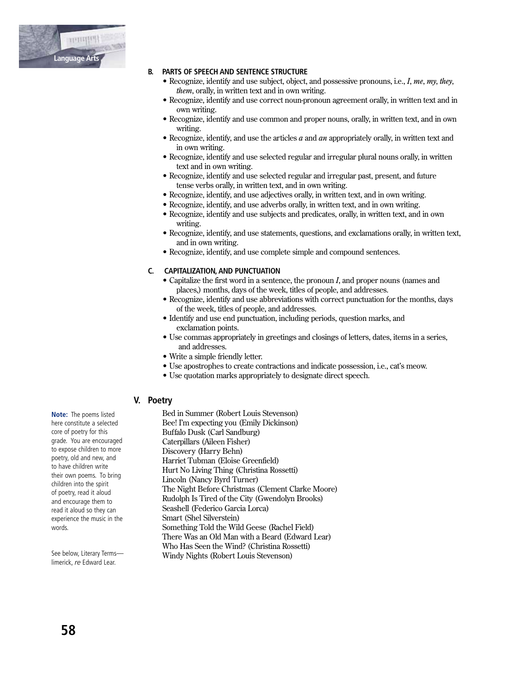

#### **B. PARTS OF SPEECH AND SENTENCE STRUCTURE**

- Recognize, identify and use subject, object, and possessive pronouns, i.e., I, me, my, they, *them*, orally, in written text and in own writing.
- Recognize, identify and use correct noun-pronoun agreement orally, in written text and in own writing.
- Recognize, identify and use common and proper nouns, orally, in written text, and in own writing.
- Recognize, identify, and use the articles  $a$  and  $an$  appropriately orally, in written text and in own writing.
- Recognize, identify and use selected regular and irregular plural nouns orally, in written text and in own writing.
- Recognize, identify and use selected regular and irregular past, present, and future tense verbs orally, in written text, and in own writing.
- Recognize, identify, and use adjectives orally, in written text, and in own writing.
- Recognize, identify, and use adverbs orally, in written text, and in own writing.
- Recognize, identify and use subjects and predicates, orally, in written text, and in own writing.
- Recognize, identify, and use statements, questions, and exclamations orally, in written text, and in own writing.
- Recognize, identify, and use complete simple and compound sentences.

#### C. CAPITALIZATION, AND PUNCTUATION

- $\bullet$  Capitalize the first word in a sentence, the pronoun  $I$ , and proper nouns (names and places,) months, days of the week, titles of people, and addresses.
- Recognize, identify and use abbreviations with correct punctuation for the months, days of the week, titles of people, and addresses.
- Identify and use end punctuation, including periods, question marks, and exclamation points.
- Use commas appropriately in greetings and closings of letters, dates, items in a series, and addresses.
- Write a simple friendly letter.
- Use apostrophes to create contractions and indicate possession, i.e., cat's meow.
- Use quotation marks appropriately to designate direct speech.

# V. Poetry

Bed in Summer (Robert Louis Stevenson) Bee! I'm expecting you (Emily Dickinson) Buffalo Dusk (Carl Sandburg) Caterpillars (Aileen Fisher) Discovery (Harry Behn) Harriet Tubman (Eloise Greenfield) Hurt No Living Thing (Christina Rossetti) Lincoln (Nancy Byrd Turner) The Night Before Christmas (Clement Clarke Moore) Rudolph Is Tired of the City (Gwendolyn Brooks) Seashell (Federico Garcia Lorca) Smart (Shel Silverstein) Something Told the Wild Geese (Rachel Field) There Was an Old Man with a Beard (Edward Lear) Who Has Seen the Wind? (Christina Rossetti) Windy Nights (Robert Louis Stevenson)

Note: The poems listed here constitute a selected core of poetry for this grade. You are encouraged to expose children to more poetry, old and new, and to have children write their own poems. To bring children into the spirit of poetry, read it aloud and encourage them to read it aloud so they can experience the music in the words.

See below, Literary Termslimerick, re Edward Lear.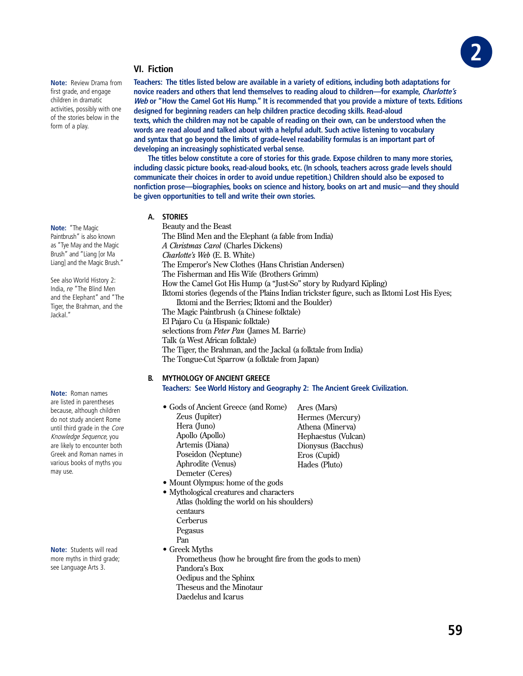

# **VI. Fiction**

**Note:** Review Drama from first grade, and engage children in dramatic activities, possibly with one of the stories below in the form of a play.

**Note:** "The Magic Paintbrush" is also known as "Tye May and the Magic Brush" and "Liang [or Ma Liang] and the Magic Brush."

See also World History 2: India, *re* "The Blind Men and the Elephant" and "The Tiger, the Brahman, and the Jackal."

**Note:** Roman names are listed in parentheses because, although children do not study ancient Rome until third grade in the Core Knowledge Sequence, you are likely to encounter both Greek and Roman names in various books of myths you may use.

**Note:** Students will read more myths in third grade; see Language Arts 3.

**Teachers: The titles listed below are available in a variety of editions, including both adaptations for novice readers and others that lend themselves to reading aloud to children—for example, Charlotte's Web or "How the Camel Got His Hump." It is recommended that you provide a mixture of texts. Editions designed for beginning readers can help children practice decoding skills. Read-aloud texts, which the children may not be capable of reading on their own, can be understood when the words are read aloud and talked about with a helpful adult. Such active listening to vocabulary and syntax that go beyond the limits of grade-level readability formulas is an important part of developing an increasingly sophisticated verbal sense.**

**The titles below constitute a core of stories for this grade. Expose children to many more stories, including classic picture books, read-aloud books, etc. (In schools, teachers across grade levels should communicate their choices in order to avoid undue repetition.) Children should also be exposed to nonfiction prose—biographies, books on science and history, books on art and music—and they should be given opportunities to tell and write their own stories.**

# **A. STORIES**

Beauty and the Beast The Blind Men and the Elephant (a fable from India) *A Christmas Carol* (Charles Dickens) *Charlotte's Web* (E. B. White) The Emperor's New Clothes (Hans Christian Andersen) The Fisherman and His Wife (Brothers Grimm) How the Camel Got His Hump (a "Just-So" story by Rudyard Kipling) Iktomi stories (legends of the Plains Indian trickster figure, such as Iktomi Lost His Eyes; Iktomi and the Berries; Iktomi and the Boulder) The Magic Paintbrush (a Chinese folktale) El Pajaro Cu (a Hispanic folktale) selections from Peter Pan (James M. Barrie) Talk (a West African folktale) The Tiger, the Brahman, and the Jackal (a folktale from India)

The Tongue-Cut Sparrow (a folktale from Japan)

#### **B. MYTHOLOGY OF ANCIENT GREECE Teachers: See World History and Geography 2: The Ancient Greek Civilization.**

- Gods of Ancient Greece (and Rome) Zeus (Jupiter) Hera (Juno) Apollo (Apollo) Artemis (Diana) Poseidon (Neptune) Aphrodite (Venus) Demeter (Ceres) Ares (Mars) Hermes (Mercury) Athena (Minerva) Hephaestus (Vulcan) Dionysus (Bacchus) Eros (Cupid) Hades (Pluto)
- Mount Olympus: home of the gods
- Mythological creatures and characters Atlas (holding the world on his shoulders) centaurs Cerberus Pegasus Pan  $\bullet$  Greek Myths Prometheus (how he brought fire from the gods to men) Pandora's Box
	- Oedipus and the Sphinx Theseus and the Minotaur

Daedelus and Icarus